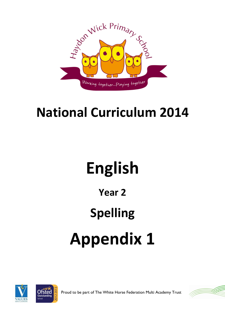

## **National Curriculum 2014**

# **English**

### **Year 2**

## **Spelling**

# **Appendix 1**





Proud to be part of The White Horse Federation Multi Academy Trust

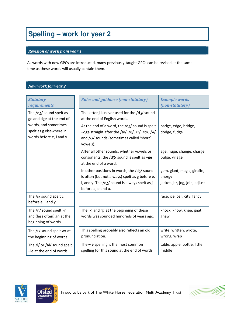### **Spelling – work for year 2**

#### *Revision of work from year 1*

As words with new GPCs are introduced, many previously-taught GPCs can be revised at the same time as these words will usually contain them.

#### *New work for year 2*

| <b>Statutory</b><br>requirements                                                                                                  | <b>Rules and guidance (non-statutory)</b>                                                                                                                                                                                                                            | <b>Example words</b><br>(non-statutory)                                 |
|-----------------------------------------------------------------------------------------------------------------------------------|----------------------------------------------------------------------------------------------------------------------------------------------------------------------------------------------------------------------------------------------------------------------|-------------------------------------------------------------------------|
| The /d3/ sound spelt as<br>ge and dge at the end of<br>words, and sometimes<br>spelt as g elsewhere in<br>words before e, i and y | The letter j is never used for the $\frac{d}{3}$ sound<br>at the end of English words.<br>At the end of a word, the $\frac{d}{3}$ sound is spelt<br>$-\text{dge}$ straight after the /æ/, /ɛ/, /ɪ/, /ɒ/, /ʌ/<br>and /U/ sounds (sometimes called 'short'<br>vowels). | badge, edge, bridge,<br>dodge, fudge                                    |
|                                                                                                                                   | After all other sounds, whether vowels or<br>consonants, the $\frac{d}{3}$ sound is spelt as -ge<br>at the end of a word.                                                                                                                                            | age, huge, change, charge,<br>bulge, village                            |
|                                                                                                                                   | In other positions in words, the /d3/ sound<br>is often (but not always) spelt as g before e,<br>i, and y. The $\frac{d}{3}$ sound is always spelt as j<br>before a, o and u.                                                                                        | gem, giant, magic, giraffe,<br>energy<br>jacket, jar, jog, join, adjust |
| The /s/ sound spelt c<br>before e, i and y                                                                                        |                                                                                                                                                                                                                                                                      | race, ice, cell, city, fancy                                            |
| The /n/ sound spelt kn<br>and (less often) gn at the<br>beginning of words                                                        | The 'k' and 'g' at the beginning of these<br>words was sounded hundreds of years ago.                                                                                                                                                                                | knock, know, knee, gnat,<br>gnaw                                        |
| The /r/ sound spelt wr at<br>the beginning of words                                                                               | This spelling probably also reflects an old<br>pronunciation.                                                                                                                                                                                                        | write, written, wrote,<br>wrong, wrap                                   |
| The /I/ or /al/ sound spelt<br>-le at the end of words                                                                            | The -le spelling is the most common<br>spelling for this sound at the end of words.                                                                                                                                                                                  | table, apple, bottle, little,<br>middle                                 |





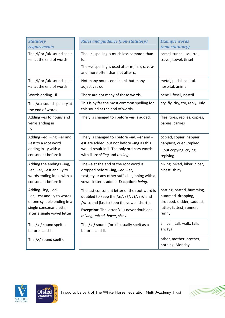| <b>Statutory</b><br>requirements                                                                                                             | <b>Rules and guidance (non-statutory)</b>                                                                                                                                                                                                                            | <b>Example words</b><br>(non-statutory)                                                                          |
|----------------------------------------------------------------------------------------------------------------------------------------------|----------------------------------------------------------------------------------------------------------------------------------------------------------------------------------------------------------------------------------------------------------------------|------------------------------------------------------------------------------------------------------------------|
| The /l/ or /al/ sound spelt<br>-el at the end of words                                                                                       | The $-eI$ spelling is much less common than $-$<br>le.<br>The -el spelling is used after $m$ , $n$ , $r$ , $s$ , $v$ , $w$                                                                                                                                           | camel, tunnel, squirrel,<br>travel, towel, tinsel                                                                |
|                                                                                                                                              | and more often than not after s.                                                                                                                                                                                                                                     |                                                                                                                  |
| The /l/ or /al/ sound spelt<br>-al at the end of words                                                                                       | Not many nouns end in -al, but many<br>adjectives do.                                                                                                                                                                                                                | metal, pedal, capital,<br>hospital, animal                                                                       |
| Words ending-il                                                                                                                              | There are not many of these words.                                                                                                                                                                                                                                   | pencil, fossil, nostril                                                                                          |
| The $/ai/$ sound spelt $-y$ at<br>the end of words                                                                                           | This is by far the most common spelling for<br>this sound at the end of words.                                                                                                                                                                                       | cry, fly, dry, try, reply, July                                                                                  |
| Adding -es to nouns and<br>verbs ending in<br>$-y$                                                                                           | The $y$ is changed to i before $-es$ is added.                                                                                                                                                                                                                       | flies, tries, replies, copies,<br>babies, carries                                                                |
| Adding -ed, -ing, -er and<br>-est to a root word<br>ending in $-y$ with a<br>consonant before it                                             | The y is changed to i before $-\text{ed}$ , $-\text{er}$ and $-$<br>est are added, but not before -ing as this<br>would result in ii. The only ordinary words<br>with ii are skiing and taxiing.                                                                     | copied, copier, happier,<br>happiest, cried, replied<br>but copying, crying,<br>replying                         |
| Adding the endings -ing,<br>-ed, -er, -est and -y to<br>words ending in -e with a<br>consonant before it                                     | The $-e$ at the end of the root word is<br>dropped before -ing, -ed, -er,<br>-est, -y or any other suffix beginning with a<br>vowel letter is added. Exception: being.                                                                                               | hiking, hiked, hiker, nicer,<br>nicest, shiny                                                                    |
| Adding-ing,-ed,<br>$-er$ , $-est$ and $-y$ to words<br>of one syllable ending in a<br>single consonant letter<br>after a single vowel letter | The last consonant letter of the root word is<br>doubled to keep the $\frac{z}{r}$ , $\frac{z}{r}$ , $\frac{1}{r}$ , $\frac{z}{r}$ and<br>/A/ sound (i.e. to keep the vowel 'short').<br>Exception: The letter 'x' is never doubled:<br>mixing, mixed, boxer, sixes. | patting, patted, humming,<br>hummed, dropping,<br>dropped, sadder, saddest,<br>fatter, fattest, runner,<br>runny |
| The /ɔ:/ sound spelt a<br>before I and II                                                                                                    | The $/$ $\ge$ :/ sound ('or') is usually spelt as a<br>before I and II.                                                                                                                                                                                              | all, ball, call, walk, talk,<br>always                                                                           |
| The $/\Lambda$ sound spelt o                                                                                                                 |                                                                                                                                                                                                                                                                      | other, mother, brother,<br>nothing, Monday                                                                       |





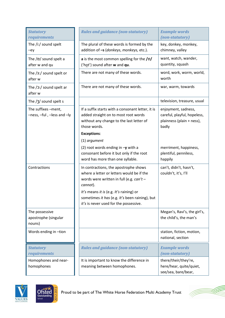| <b>Statutory</b><br>requirements                  | <b>Rules and guidance (non-statutory)</b>                                                                                                                                                                                                                                           | <b>Example words</b><br>(non-statutory)                                                  |
|---------------------------------------------------|-------------------------------------------------------------------------------------------------------------------------------------------------------------------------------------------------------------------------------------------------------------------------------------|------------------------------------------------------------------------------------------|
| The /i:/ sound spelt<br>$-ey$                     | The plural of these words is formed by the<br>addition of -s (donkeys, monkeys, etc.).                                                                                                                                                                                              | key, donkey, monkey,<br>chimney, valley                                                  |
| The /p/ sound spelt a<br>after w and qu           | a is the most common spelling for the /p/<br>('hot') sound after w and qu.                                                                                                                                                                                                          | want, watch, wander,<br>quantity, squash                                                 |
| The /3:/ sound spelt or<br>after w                | There are not many of these words.                                                                                                                                                                                                                                                  | word, work, worm, world,<br>worth                                                        |
| The $/$ $2$ :/ sound spelt ar<br>after w          | There are not many of these words.                                                                                                                                                                                                                                                  | war, warm, towards                                                                       |
| The /3/ sound spelt s                             |                                                                                                                                                                                                                                                                                     | television, treasure, usual                                                              |
| The suffixes -ment,<br>-ness, -ful, -less and -ly | If a suffix starts with a consonant letter, it is<br>added straight on to most root words<br>without any change to the last letter of<br>those words.<br><b>Exceptions:</b>                                                                                                         | enjoyment, sadness,<br>careful, playful, hopeless,<br>plainness (plain + ness),<br>badly |
|                                                   | (1) argument                                                                                                                                                                                                                                                                        |                                                                                          |
|                                                   | (2) root words ending in $-\mathbf{y}$ with a<br>consonant before it but only if the root<br>word has more than one syllable.                                                                                                                                                       | merriment, happiness,<br>plentiful, penniless,<br>happily                                |
| Contractions                                      | In contractions, the apostrophe shows<br>where a letter or letters would be if the<br>words were written in full (e.g. $can't$ –<br>cannot).<br>It's means it is (e.g. It's raining) or<br>sometimes it has (e.g. It's been raining), but<br>it's is never used for the possessive. | can't, didn't, hasn't,<br>couldn't, it's, I'll                                           |
| The possessive<br>apostrophe (singular<br>nouns)  |                                                                                                                                                                                                                                                                                     | Megan's, Ravi's, the girl's,<br>the child's, the man's                                   |
| Words ending in -tion                             |                                                                                                                                                                                                                                                                                     | station, fiction, motion,<br>national, section                                           |
| <b>Statutory</b><br>requirements                  | <b>Rules and guidance (non-statutory)</b>                                                                                                                                                                                                                                           | <b>Example words</b><br>(non-statutory)                                                  |
| Homophones and near-<br>homophones                | It is important to know the difference in<br>meaning between homophones.                                                                                                                                                                                                            | there/their/they're,<br>here/hear, quite/quiet,<br>see/sea, bare/bear,                   |